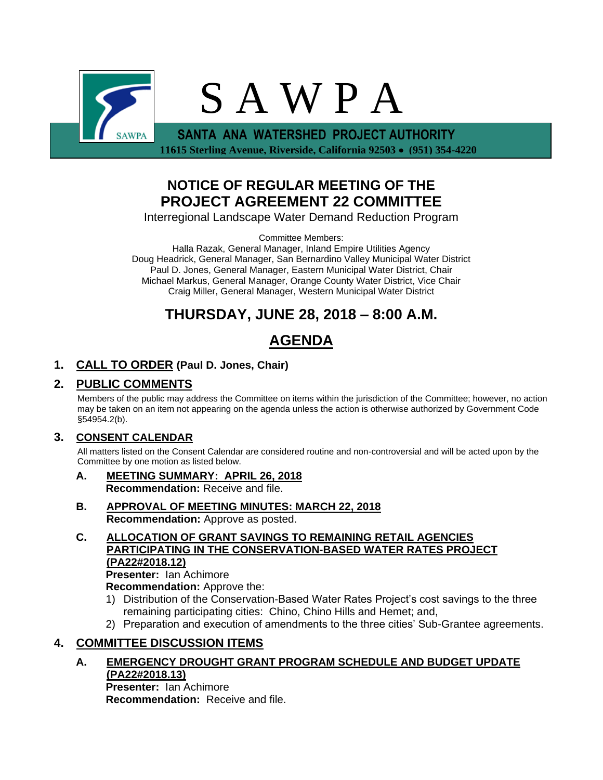

 **11615 Sterling Avenue, Riverside, California 92503 (951) 354-4220**

## **NOTICE OF REGULAR MEETING OF THE PROJECT AGREEMENT 22 COMMITTEE**

Interregional Landscape Water Demand Reduction Program

Committee Members:

Halla Razak, General Manager, Inland Empire Utilities Agency Doug Headrick, General Manager, San Bernardino Valley Municipal Water District Paul D. Jones, General Manager, Eastern Municipal Water District, Chair Michael Markus, General Manager, Orange County Water District, Vice Chair Craig Miller, General Manager, Western Municipal Water District

## **THURSDAY, JUNE 28, 2018 – 8:00 A.M.**

# **AGENDA**

## **1. CALL TO ORDER (Paul D. Jones, Chair)**

## **2. PUBLIC COMMENTS**

Members of the public may address the Committee on items within the jurisdiction of the Committee; however, no action may be taken on an item not appearing on the agenda unless the action is otherwise authorized by Government Code §54954.2(b).

### **3. CONSENT CALENDAR**

All matters listed on the Consent Calendar are considered routine and non-controversial and will be acted upon by the Committee by one motion as listed below.

- **A. MEETING SUMMARY: APRIL 26, 2018 Recommendation:** Receive and file.
- **B. APPROVAL OF MEETING MINUTES: MARCH 22, 2018 Recommendation:** Approve as posted.
- **C. ALLOCATION OF GRANT SAVINGS TO REMAINING RETAIL AGENCIES PARTICIPATING IN THE CONSERVATION-BASED WATER RATES PROJECT (PA22#2018.12) Presenter:** Ian Achimore

**Recommendation:** Approve the:

- 1) Distribution of the Conservation-Based Water Rates Project's cost savings to the three remaining participating cities: Chino, Chino Hills and Hemet; and,
- 2) Preparation and execution of amendments to the three cities' Sub-Grantee agreements.

## **4. COMMITTEE DISCUSSION ITEMS**

**A. EMERGENCY DROUGHT GRANT PROGRAM SCHEDULE AND BUDGET UPDATE (PA22#2018.13)**

**Presenter:** Ian Achimore **Recommendation:** Receive and file.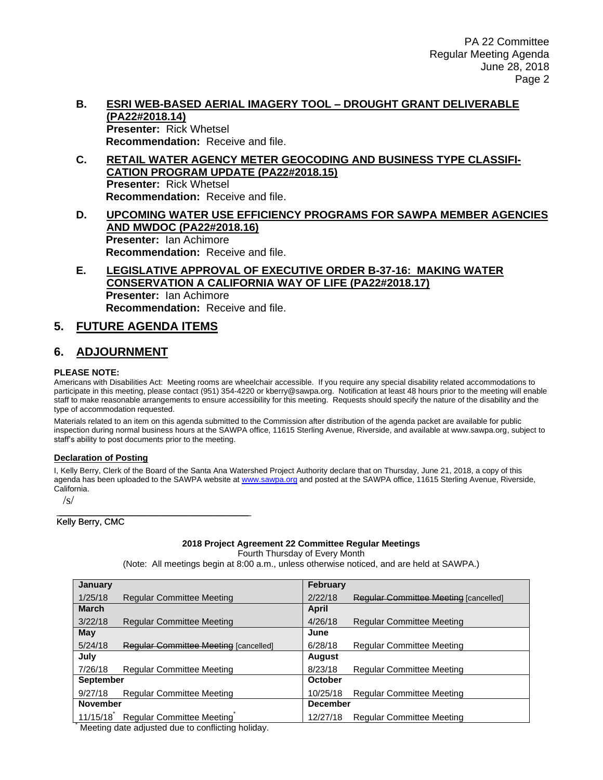#### **B. ESRI WEB-BASED AERIAL IMAGERY TOOL – DROUGHT GRANT DELIVERABLE (PA22#2018.14) Presenter:** Rick Whetsel **Recommendation:** Receive and file.

- **C. RETAIL WATER AGENCY METER GEOCODING AND BUSINESS TYPE CLASSIFI-CATION PROGRAM UPDATE (PA22#2018.15) Presenter:** Rick Whetsel **Recommendation:** Receive and file.
- **D. UPCOMING WATER USE EFFICIENCY PROGRAMS FOR SAWPA MEMBER AGENCIES AND MWDOC (PA22#2018.16) Presenter:** Ian Achimore **Recommendation:** Receive and file.
- **E. LEGISLATIVE APPROVAL OF EXECUTIVE ORDER B-37-16: MAKING WATER CONSERVATION A CALIFORNIA WAY OF LIFE (PA22#2018.17) Presenter:** Ian Achimore **Recommendation:** Receive and file.

### **5. FUTURE AGENDA ITEMS**

## **6. ADJOURNMENT**

#### **PLEASE NOTE:**

Americans with Disabilities Act: Meeting rooms are wheelchair accessible. If you require any special disability related accommodations to participate in this meeting, please contact (951) 354-4220 or kberry@sawpa.org. Notification at least 48 hours prior to the meeting will enable staff to make reasonable arrangements to ensure accessibility for this meeting. Requests should specify the nature of the disability and the type of accommodation requested.

Materials related to an item on this agenda submitted to the Commission after distribution of the agenda packet are available for public inspection during normal business hours at the SAWPA office, 11615 Sterling Avenue, Riverside, and available at www.sawpa.org, subject to staff's ability to post documents prior to the meeting.

#### **Declaration of Posting**

I, Kelly Berry, Clerk of the Board of the Santa Ana Watershed Project Authority declare that on Thursday, June 21, 2018, a copy of this agenda has been uploaded to the SAWPA website a[t www.sawpa.org](http://www.sawpa.org/) and posted at the SAWPA office, 11615 Sterling Avenue, Riverside, California.

/s/

\_\_\_\_\_\_\_\_\_\_\_\_\_\_\_\_\_\_\_\_\_\_\_\_\_\_\_\_\_\_\_\_\_\_\_\_\_\_\_ Kelly Berry, CMC

#### **2018 Project Agreement 22 Committee Regular Meetings**

Fourth Thursday of Every Month

(Note: All meetings begin at 8:00 a.m., unless otherwise noticed, and are held at SAWPA.)

| <b>January</b>   |                                              | February        |                                              |
|------------------|----------------------------------------------|-----------------|----------------------------------------------|
| 1/25/18          | <b>Regular Committee Meeting</b>             | 2/22/18         | <b>Regular Committee Meeting [cancelled]</b> |
| <b>March</b>     |                                              | April           |                                              |
| 3/22/18          | <b>Regular Committee Meeting</b>             | 4/26/18         | <b>Regular Committee Meeting</b>             |
| May              |                                              | June            |                                              |
| 5/24/18          | <b>Regular Committee Meeting [cancelled]</b> | 6/28/18         | Regular Committee Meeting                    |
| July             |                                              | August          |                                              |
| 7/26/18          | Regular Committee Meeting                    | 8/23/18         | Regular Committee Meeting                    |
| <b>September</b> |                                              | October         |                                              |
| 9/27/18          | Regular Committee Meeting                    | 10/25/18        | Regular Committee Meeting                    |
| <b>November</b>  |                                              | <b>December</b> |                                              |
| 11/15/18         | Regular Committee Meeting                    | 12/27/18        | <b>Regular Committee Meeting</b>             |

Meeting date adjusted due to conflicting holiday.